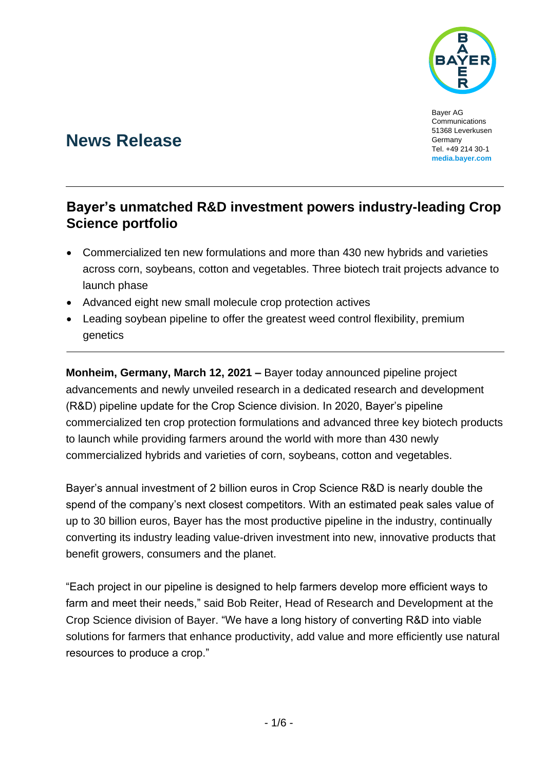

Bayer AG Communications 51368 Leverkusen Germany Tel. +49 214 30-1 **[media.bayer.com](http://media.bayer.de/)**

# **News Release**

## **Bayer's unmatched R&D investment powers industry-leading Crop Science portfolio**

- Commercialized ten new formulations and more than 430 new hybrids and varieties across corn, soybeans, cotton and vegetables. Three biotech trait projects advance to launch phase
- Advanced eight new small molecule crop protection actives
- Leading soybean pipeline to offer the greatest weed control flexibility, premium genetics

**Monheim, Germany, March 12, 2021 –** Bayer today announced pipeline project advancements and newly unveiled research in a dedicated research and development (R&D) pipeline update for the Crop Science division. In 2020, Bayer's pipeline commercialized ten crop protection formulations and advanced three key biotech products to launch while providing farmers around the world with more than 430 newly commercialized hybrids and varieties of corn, soybeans, cotton and vegetables.

Bayer's annual investment of 2 billion euros in Crop Science R&D is nearly double the spend of the company's next closest competitors. With an estimated peak sales value of up to 30 billion euros, Bayer has the most productive pipeline in the industry, continually converting its industry leading value-driven investment into new, innovative products that benefit growers, consumers and the planet.

"Each project in our pipeline is designed to help farmers develop more efficient ways to farm and meet their needs," said Bob Reiter, Head of Research and Development at the Crop Science division of Bayer. "We have a long history of converting R&D into viable solutions for farmers that enhance productivity, add value and more efficiently use natural resources to produce a crop."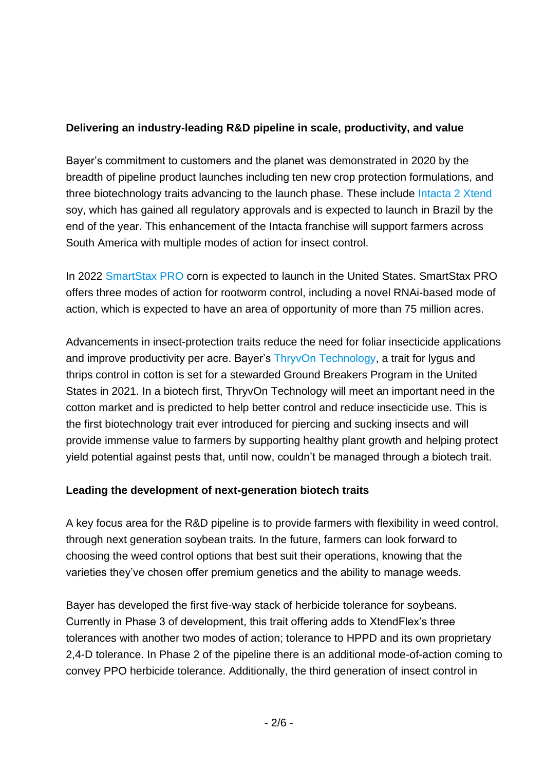#### **Delivering an industry-leading R&D pipeline in scale, productivity, and value**

Bayer's commitment to customers and the planet was demonstrated in 2020 by the breadth of pipeline product launches including ten new crop protection formulations, and three biotechnology traits advancing to the launch phase. These include [Intacta 2 Xtend](https://plataformaintacta2xtend.com.br/) soy, which has gained all regulatory approvals and is expected to launch in Brazil by the end of the year. This enhancement of the Intacta franchise will support farmers across South America with multiple modes of action for insect control.

In 2022 [SmartStax PRO](https://traits.bayer.com/corn/Pages/SmartStax-RIB-Complete.aspx) corn is expected to launch in the United States. SmartStax PRO offers three modes of action for rootworm control, including a novel RNAi-based mode of action, which is expected to have an area of opportunity of more than 75 million acres.

Advancements in insect-protection traits reduce the need for foliar insecticide applications and improve productivity per acre. Bayer's [ThryvOn Technology,](https://www.dekalbasgrowdeltapine.com/en-us/media/thryvon-technology-to-bring-new-solutions-to-cotton-growers-in-near-future.html) a trait for lygus and thrips control in cotton is set for a stewarded Ground Breakers Program in the United States in 2021. In a biotech first, ThryvOn Technology will meet an important need in the cotton market and is predicted to help better control and reduce insecticide use. This is the first biotechnology trait ever introduced for piercing and sucking insects and will provide immense value to farmers by supporting healthy plant growth and helping protect yield potential against pests that, until now, couldn't be managed through a biotech trait.

#### **Leading the development of next-generation biotech traits**

A key focus area for the R&D pipeline is to provide farmers with flexibility in weed control, through next generation soybean traits. In the future, farmers can look forward to choosing the weed control options that best suit their operations, knowing that the varieties they've chosen offer premium genetics and the ability to manage weeds.

Bayer has developed the first five-way stack of herbicide tolerance for soybeans. Currently in Phase 3 of development, this trait offering adds to XtendFlex's three tolerances with another two modes of action; tolerance to HPPD and its own proprietary 2,4-D tolerance. In Phase 2 of the pipeline there is an additional mode-of-action coming to convey PPO herbicide tolerance. Additionally, the third generation of insect control in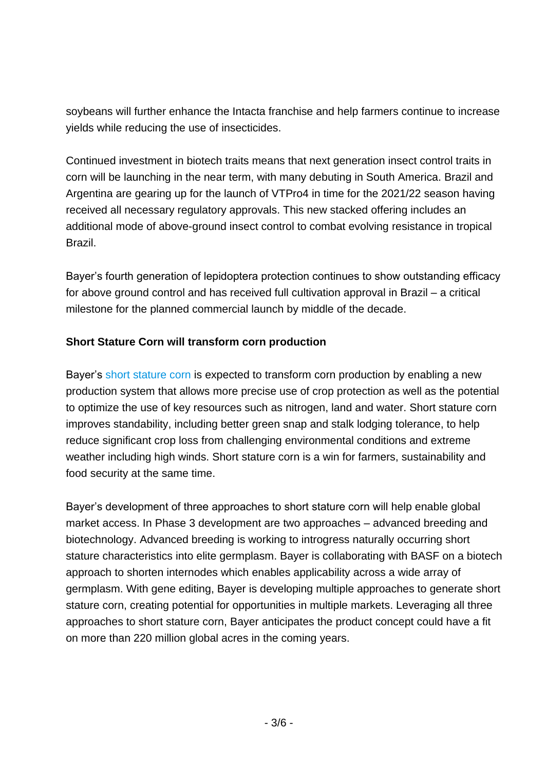soybeans will further enhance the Intacta franchise and help farmers continue to increase yields while reducing the use of insecticides.

Continued investment in biotech traits means that next generation insect control traits in corn will be launching in the near term, with many debuting in South America. Brazil and Argentina are gearing up for the launch of VTPro4 in time for the 2021/22 season having received all necessary regulatory approvals. This new stacked offering includes an additional mode of above-ground insect control to combat evolving resistance in tropical Brazil.

Bayer's fourth generation of lepidoptera protection continues to show outstanding efficacy for above ground control and has received full cultivation approval in Brazil – a critical milestone for the planned commercial launch by middle of the decade.

#### **Short Stature Corn will transform corn production**

Bayer's [short stature corn](https://www.cropscience.bayer.com/people-planet/natural-resource-conservation/land-preservation) is expected to transform corn production by enabling a new production system that allows more precise use of crop protection as well as the potential to optimize the use of key resources such as nitrogen, land and water. Short stature corn improves standability, including better green snap and stalk lodging tolerance, to help reduce significant crop loss from challenging environmental conditions and extreme weather including high winds. Short stature corn is a win for farmers, sustainability and food security at the same time.

Bayer's development of three approaches to short stature corn will help enable global market access. In Phase 3 development are two approaches – advanced breeding and biotechnology. Advanced breeding is working to introgress naturally occurring short stature characteristics into elite germplasm. Bayer is collaborating with BASF on a biotech approach to shorten internodes which enables applicability across a wide array of germplasm. With gene editing, Bayer is developing multiple approaches to generate short stature corn, creating potential for opportunities in multiple markets. Leveraging all three approaches to short stature corn, Bayer anticipates the product concept could have a fit on more than 220 million global acres in the coming years.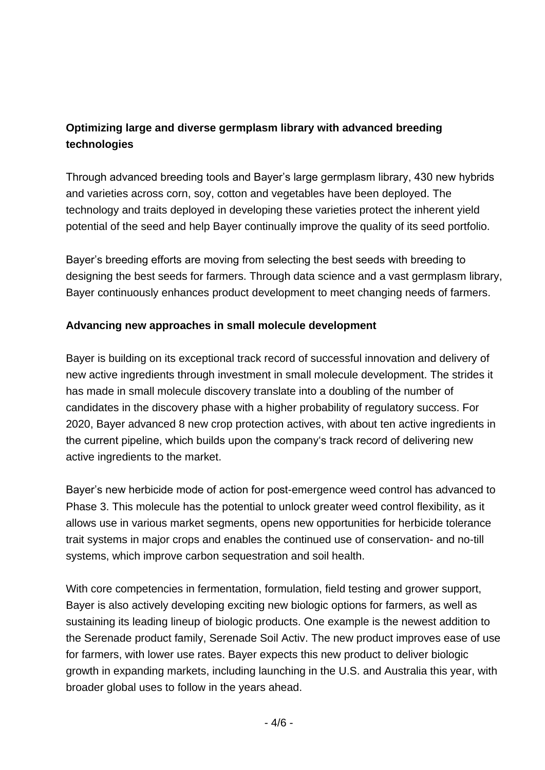### **Optimizing large and diverse germplasm library with advanced breeding technologies**

Through advanced breeding tools and Bayer's large germplasm library, 430 new hybrids and varieties across corn, soy, cotton and vegetables have been deployed. The technology and traits deployed in developing these varieties protect the inherent yield potential of the seed and help Bayer continually improve the quality of its seed portfolio.

Bayer's breeding efforts are moving from selecting the best seeds with breeding to designing the best seeds for farmers. Through data science and a vast germplasm library, Bayer continuously enhances product development to meet changing needs of farmers.

#### **Advancing new approaches in small molecule development**

Bayer is building on its exceptional track record of successful innovation and delivery of new active ingredients through investment in small molecule development. The strides it has made in small molecule discovery translate into a doubling of the number of candidates in the discovery phase with a higher probability of regulatory success. For 2020, Bayer advanced 8 new crop protection actives, with about ten active ingredients in the current pipeline, which builds upon the company's track record of delivering new active ingredients to the market.

Bayer's new herbicide mode of action for post-emergence weed control has advanced to Phase 3. This molecule has the potential to unlock greater weed control flexibility, as it allows use in various market segments, opens new opportunities for herbicide tolerance trait systems in major crops and enables the continued use of conservation- and no-till systems, which improve carbon sequestration and soil health.

With core competencies in fermentation, formulation, field testing and grower support, Bayer is also actively developing exciting new biologic options for farmers, as well as sustaining its leading lineup of biologic products. One example is the newest addition to the Serenade product family, Serenade Soil Activ. The new product improves ease of use for farmers, with lower use rates. Bayer expects this new product to deliver biologic growth in expanding markets, including launching in the U.S. and Australia this year, with broader global uses to follow in the years ahead.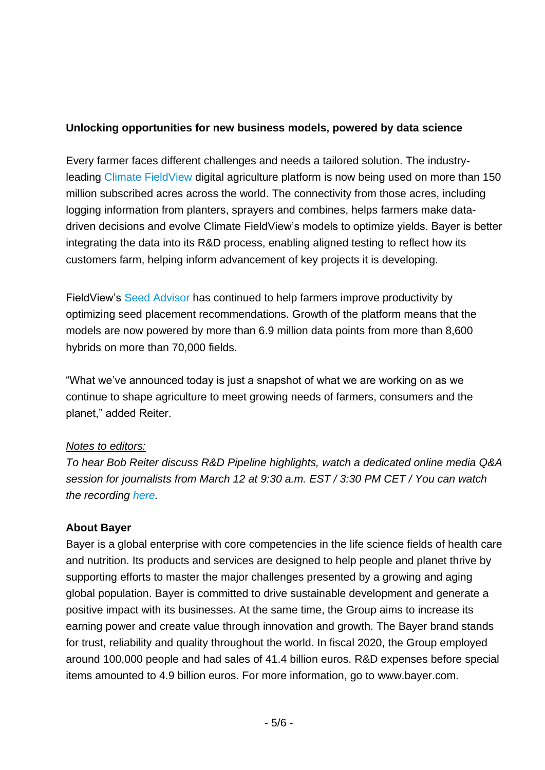#### **Unlocking opportunities for new business models, powered by data science**

Every farmer faces different challenges and needs a tailored solution. The industryleading [Climate FieldView](https://climate.com/) digital agriculture platform is now being used on more than 150 million subscribed acres across the world. The connectivity from those acres, including logging information from planters, sprayers and combines, helps farmers make datadriven decisions and evolve Climate FieldView's models to optimize yields. Bayer is better integrating the data into its R&D process, enabling aligned testing to reflect how its customers farm, helping inform advancement of key projects it is developing.

FieldView's [Seed Advisor](https://climate.com/newsroom/predictive-seed-placement-technology) has continued to help farmers improve productivity by optimizing seed placement recommendations. Growth of the platform means that the models are now powered by more than 6.9 million data points from more than 8,600 hybrids on more than 70,000 fields.

"What we've announced today is just a snapshot of what we are working on as we continue to shape agriculture to meet growing needs of farmers, consumers and the planet," added Reiter.

#### *Notes to editors:*

*To hear Bob Reiter discuss R&D Pipeline highlights, watch a dedicated online media Q&A session for journalists from March 12 at 9:30 a.m. EST / 3:30 PM CET / You can watch the recording [here.](https://www.cropscience.bayer.com/innovations/pipeline?auHash=5u-j2ud4PR7p7Y2e1ARturQl3xioW8fihwgH8C2zq6s)*

#### **About Bayer**

Bayer is a global enterprise with core competencies in the life science fields of health care and nutrition. Its products and services are designed to help people and planet thrive by supporting efforts to master the major challenges presented by a growing and aging global population. Bayer is committed to drive sustainable development and generate a positive impact with its businesses. At the same time, the Group aims to increase its earning power and create value through innovation and growth. The Bayer brand stands for trust, reliability and quality throughout the world. In fiscal 2020, the Group employed around 100,000 people and had sales of 41.4 billion euros. R&D expenses before special items amounted to 4.9 billion euros. For more information, go to [www.bayer.com.](http://www.bayer.com/)